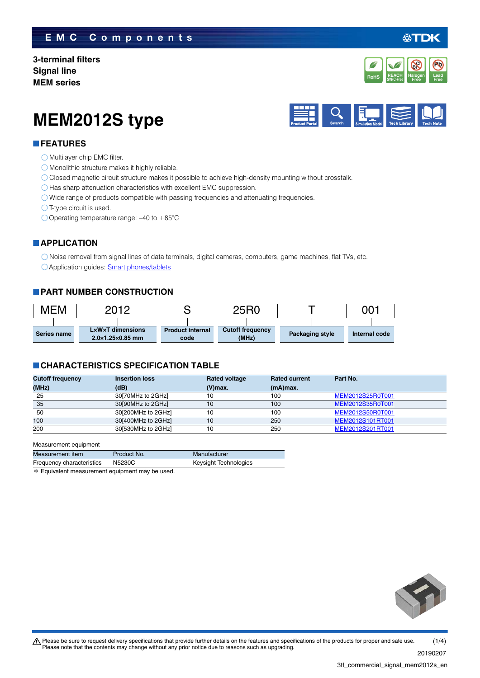## **EMC Components**

**3-terminal filters Signal line MEM series**



公TDK

# **MEM2012S type**



#### **FEATURES**

**O** Multilayer chip EMC filter.

- Monolithic structure makes it highly reliable.
- Closed magnetic circuit structure makes it possible to achieve high-density mounting without crosstalk.

 $\bigcirc$  Has sharp attenuation characteristics with excellent EMC suppression.

- O Wide range of products compatible with passing frequencies and attenuating frequencies.
- $\bigcirc$  T-type circuit is used.
- Operating temperature range: –40 to +85°C

#### **APPLICATION**

Noise removal from signal lines of data terminals, digital cameras, computers, game machines, flat TVs, etc. Application guides: [Smart phones/tablets](https://product.tdk.com/info/en/applicationguide/smartphone_tablet/index.html?utm_source=3tf_commercial_signal_mem2012s_en.pdf&utm_medium=catalog)

#### **PART NUMBER CONSTRUCTION**

| МЕМ         |  | 2012                         |                                  |                         |      | 25R0                    |       |  |                 | 00·           |  |
|-------------|--|------------------------------|----------------------------------|-------------------------|------|-------------------------|-------|--|-----------------|---------------|--|
|             |  |                              |                                  |                         |      |                         |       |  |                 |               |  |
| Series name |  | $2.0\times1.25\times0.85$ mm | $L \times W \times T$ dimensions | <b>Product internal</b> | code | <b>Cutoff frequency</b> | (MHz) |  | Packaging style | Internal code |  |

#### **CHARACTERISTICS SPECIFICATION TABLE**

| <b>Cutoff frequency</b> | <b>Insertion loss</b> | <b>Rated voltage</b> | <b>Rated current</b> | Part No.         |
|-------------------------|-----------------------|----------------------|----------------------|------------------|
| (MHz)                   | (dB)                  | $(V)$ max.           | $(mA)$ max.          |                  |
| 25                      | 30 70 MHz to 2 GHz    |                      | 100                  | MEM2012S25R0T001 |
| 35                      | 30[90MHz to 2GHz]     | 10                   | 100                  | MEM2012S35R0T001 |
| 50                      | 30[200MHz to 2GHz]    | 10                   | 100                  | MEM2012S50R0T001 |
| 100                     | 30[400MHz to 2GHz]    | 10                   | 250                  | MEM2012S101RT001 |
| 200                     | 30[530MHz to 2GHz]    | 10                   | 250                  | MEM2012S201RT001 |

#### Measurement equipment

| Measurement item          | Product No. | Manufacturer          |
|---------------------------|-------------|-----------------------|
| Frequency characteristics | N5230C      | Keysight Technologies |

\* Equivalent measurement equipment may be used.

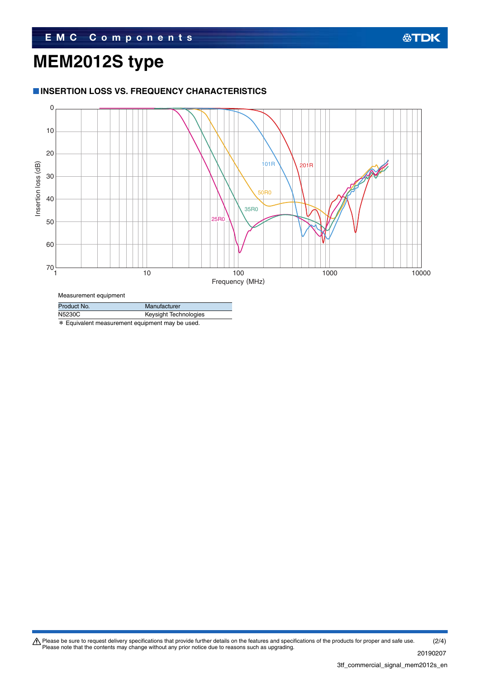# **MEM2012S type**

### **INSERTION LOSS VS. FREQUENCY CHARACTERISTICS**



Product No. Manufacturer

| .      |                       |
|--------|-----------------------|
| N5230C | Keysight Technologies |

\* Equivalent measurement equipment may be used.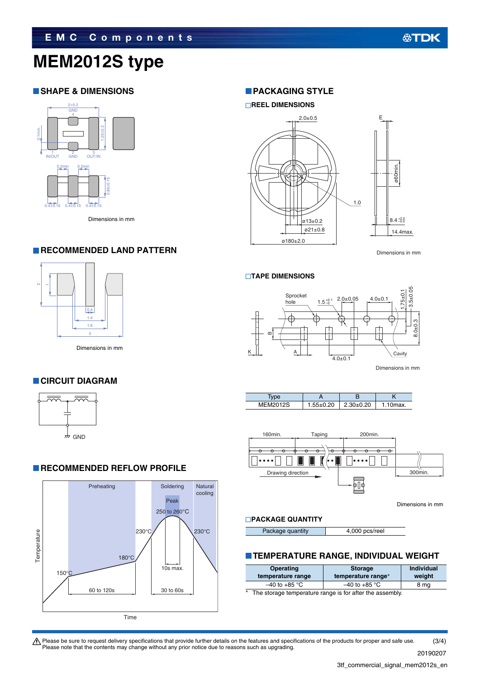# **MEM2012S type**

## **SHAPE & DIMENSIONS**



Dimensions in mm

#### **RECOMMENDED LAND PATTERN**



Dimensions in mm

## **CIRCUIT DIAGRAM**



### **RECOMMENDED REFLOW PROFILE**



#### **PACKAGING STYLE**

#### **REEL DIMENSIONS**



Dimensions in mm

#### **TAPE DIMENSIONS**



Dimensions in mm





Dimensions in mm

#### **PACKAGE QUANTITY**

| Package quantity | 4,000 pcs/reel |
|------------------|----------------|
|------------------|----------------|

#### **TEMPERATURE RANGE, INDIVIDUAL WEIGHT**

| <b>Operating</b><br>temperature range                                                                                                                                                                                                | <b>Storage</b><br>temperature range* | <b>Individual</b><br>weight |  |  |
|--------------------------------------------------------------------------------------------------------------------------------------------------------------------------------------------------------------------------------------|--------------------------------------|-----------------------------|--|--|
| $-40$ to +85 °C                                                                                                                                                                                                                      | $-40$ to $+85$ °C                    | 8 mg                        |  |  |
| sk.<br>The state of the communities were to face office the state of the state of the state of the state of the state of the state of the state of the state of the state of the state of the state of the state of the state of the |                                      |                             |  |  |

The storage temperature range is for after the assembly.

 $\bigwedge$  Please be sure to request delivery specifications that provide further details on the features and specifications of the products for proper and safe use. Please note that the contents may change without any prior notice due to reasons such as upgrading. (3/4)